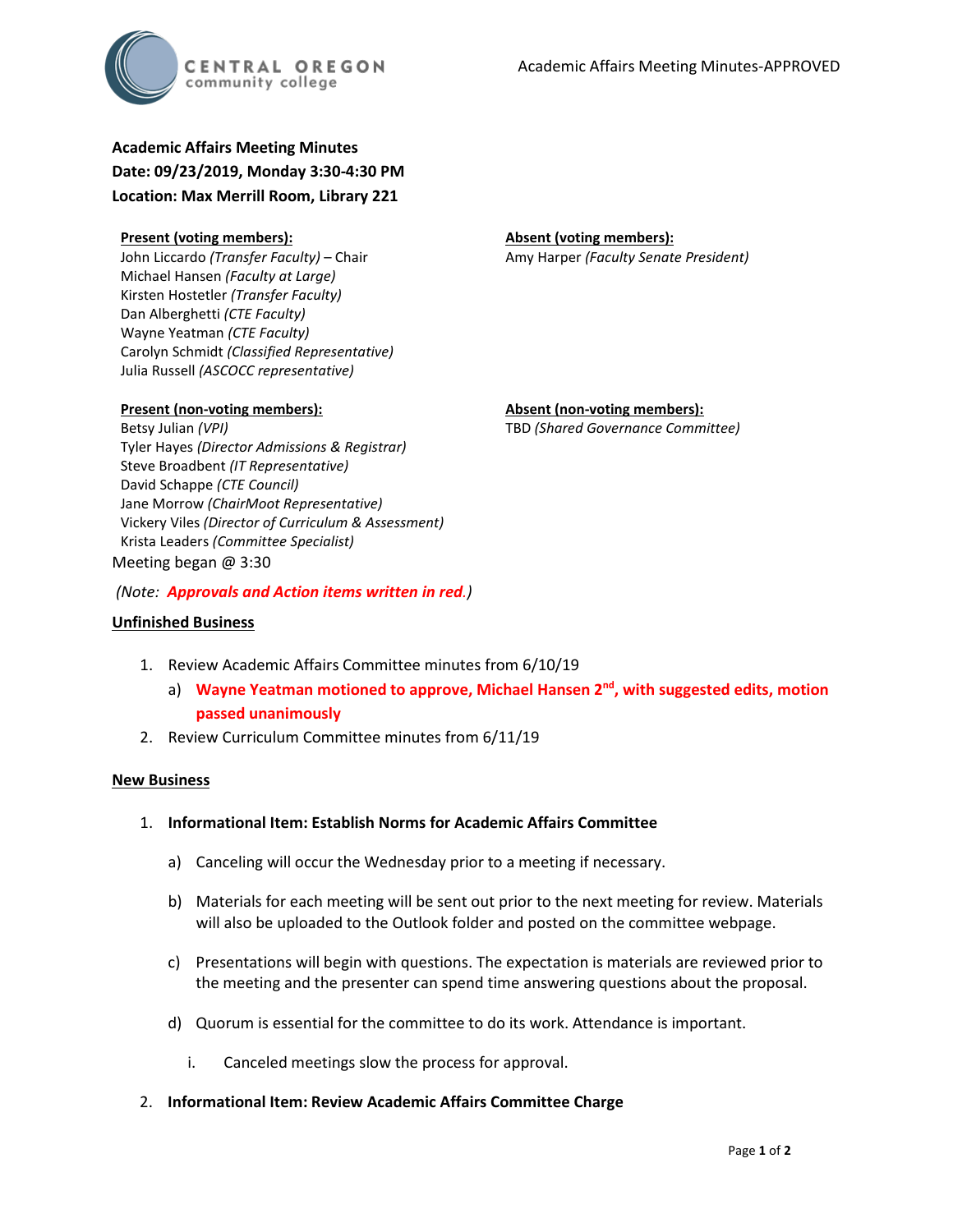

## **Academic Affairs Meeting Minutes Date: 09/23/2019, Monday 3:30-4:30 PM**

**Location: Max Merrill Room, Library 221**

| <b>Present (voting members):</b>                    | <b>Absent (voting members):</b>       |
|-----------------------------------------------------|---------------------------------------|
| John Liccardo <i>(Transfer Faculty)</i> – Chair     | Amy Harper (Faculty Senate President) |
| Michael Hansen (Faculty at Large)                   |                                       |
| Kirsten Hostetler (Transfer Faculty)                |                                       |
| Dan Alberghetti (CTE Faculty)                       |                                       |
| Wayne Yeatman (CTE Faculty)                         |                                       |
| Carolyn Schmidt (Classified Representative)         |                                       |
| Julia Russell (ASCOCC representative)               |                                       |
|                                                     |                                       |
| <b>Present (non-voting members):</b>                | <b>Absent (non-voting members):</b>   |
| Betsy Julian (VPI)                                  | TBD (Shared Governance Committee)     |
| Tyler Hayes (Director Admissions & Registrar)       |                                       |
| Steve Broadbent (IT Representative)                 |                                       |
| David Schappe (CTE Council)                         |                                       |
| Jane Morrow (ChairMoot Representative)              |                                       |
| Vickery Viles (Director of Curriculum & Assessment) |                                       |
| Krista Leaders (Committee Specialist)               |                                       |
| $M$ aating haqan @ 2.20                             |                                       |

Meeting began @ 3:30

*(Note: Approvals and Action items written in red.)*

## **Unfinished Business**

- 1. Review Academic Affairs Committee minutes from 6/10/19
	- a) **Wayne Yeatman motioned to approve, Michael Hansen 2nd, with suggested edits, motion passed unanimously**
- 2. Review Curriculum Committee minutes from 6/11/19

## **New Business**

- 1. **Informational Item: Establish Norms for Academic Affairs Committee**
	- a) Canceling will occur the Wednesday prior to a meeting if necessary.
	- b) Materials for each meeting will be sent out prior to the next meeting for review. Materials will also be uploaded to the Outlook folder and posted on the committee webpage.
	- c) Presentations will begin with questions. The expectation is materials are reviewed prior to the meeting and the presenter can spend time answering questions about the proposal.
	- d) Quorum is essential for the committee to do its work. Attendance is important.
		- i. Canceled meetings slow the process for approval.
- 2. **Informational Item: Review Academic Affairs Committee Charge**